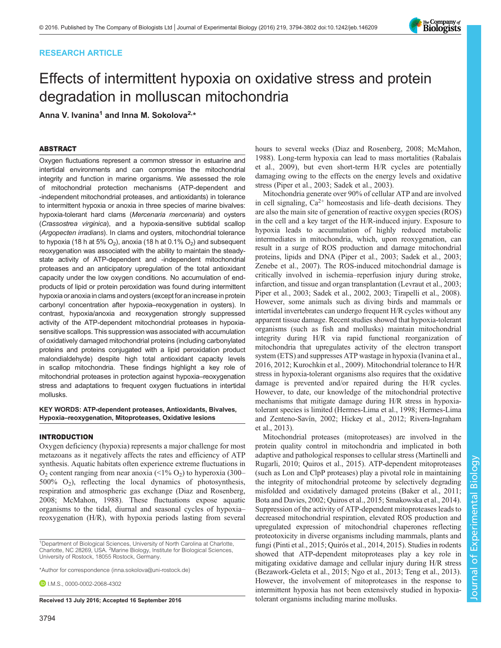# RESEARCH ARTICLE

# Effects of intermittent hypoxia on oxidative stress and protein degradation in molluscan mitochondria

Anna V. Ivanina<sup>1</sup> and Inna M. Sokolova<sup>2,\*</sup>

# ABSTRACT

Oxygen fluctuations represent a common stressor in estuarine and intertidal environments and can compromise the mitochondrial integrity and function in marine organisms. We assessed the role of mitochondrial protection mechanisms (ATP-dependent and -independent mitochondrial proteases, and antioxidants) in tolerance to intermittent hypoxia or anoxia in three species of marine bivalves: hypoxia-tolerant hard clams (Mercenaria mercenaria) and oysters (Crassostrea virginica), and a hypoxia-sensitive subtidal scallop (Argopecten irradians). In clams and oysters, mitochondrial tolerance to hypoxia (18 h at 5%  $O_2$ ), anoxia (18 h at 0.1%  $O_2$ ) and subsequent reoxygenation was associated with the ability to maintain the steadystate activity of ATP-dependent and -independent mitochondrial proteases and an anticipatory upregulation of the total antioxidant capacity under the low oxygen conditions. No accumulation of endproducts of lipid or protein peroxidation was found during intermittent hypoxia or anoxia in clams and oysters (except for an increase in protein carbonyl concentration after hypoxia–reoxygenation in oysters). In contrast, hypoxia/anoxia and reoxygenation strongly suppressed activity of the ATP-dependent mitochondrial proteases in hypoxiasensitive scallops. This suppression was associated with accumulation of oxidatively damaged mitochondrial proteins (including carbonylated proteins and proteins conjugated with a lipid peroxidation product malondialdehyde) despite high total antioxidant capacity levels in scallop mitochondria. These findings highlight a key role of mitochondrial proteases in protection against hypoxia–reoxygenation stress and adaptations to frequent oxygen fluctuations in intertidal mollusks.

KEY WORDS: ATP-dependent proteases, Antioxidants, Bivalves, Hypoxia–reoxygenation, Mitoproteases, Oxidative lesions

#### INTRODUCTION

Oxygen deficiency (hypoxia) represents a major challenge for most metazoans as it negatively affects the rates and efficiency of ATP synthesis. Aquatic habitats often experience extreme fluctuations in  $O_2$  content ranging from near anoxia (<1%  $O_2$ ) to hyperoxia (300–  $500\%$  O<sub>2</sub>), reflecting the local dynamics of photosynthesis, respiration and atmospheric gas exchange ([Diaz and Rosenberg,](#page-7-0) [2008](#page-7-0); [McMahon, 1988](#page-7-0)). These fluctuations expose aquatic organisms to the tidal, diurnal and seasonal cycles of hypoxia– reoxygenation (H/R), with hypoxia periods lasting from several

3794

hours to several weeks ([Diaz and Rosenberg, 2008](#page-7-0); [McMahon,](#page-7-0) [1988\)](#page-7-0). Long-term hypoxia can lead to mass mortalities ([Rabalais](#page-7-0) [et al., 2009](#page-7-0)), but even short-term H/R cycles are potentially damaging owing to the effects on the energy levels and oxidative stress [\(Piper et al., 2003; Sadek et al., 2003](#page-7-0)).

Mitochondria generate over 90% of cellular ATP and are involved in cell signaling,  $Ca^{2+}$  homeostasis and life–death decisions. They are also the main site of generation of reactive oxygen species (ROS) in the cell and a key target of the H/R-induced injury. Exposure to hypoxia leads to accumulation of highly reduced metabolic intermediates in mitochondria, which, upon reoxygenation, can result in a surge of ROS production and damage mitochondrial proteins, lipids and DNA ([Piper et al., 2003](#page-7-0); [Sadek et al., 2003](#page-7-0); [Zenebe et al., 2007](#page-8-0)). The ROS-induced mitochondrial damage is critically involved in ischemia–reperfusion injury during stroke, infarction, and tissue and organ transplantation ([Levraut et al., 2003](#page-7-0); [Piper et al., 2003](#page-7-0); [Sadek et al., 2002](#page-7-0), [2003;](#page-7-0) [Tirapelli et al., 2008\)](#page-8-0). However, some animals such as diving birds and mammals or intertidal invertebrates can undergo frequent H/R cycles without any apparent tissue damage. Recent studies showed that hypoxia-tolerant organisms (such as fish and mollusks) maintain mitochondrial integrity during H/R via rapid functional reorganization of mitochondria that upregulates activity of the electron transport system (ETS) and suppresses ATP wastage in hypoxia ([Ivanina et al.,](#page-7-0) [2016, 2012; Kurochkin et al., 2009\)](#page-7-0). Mitochondrial tolerance to H/R stress in hypoxia-tolerant organisms also requires that the oxidative damage is prevented and/or repaired during the H/R cycles. However, to date, our knowledge of the mitochondrial protective mechanisms that mitigate damage during H/R stress in hypoxiatolerant species is limited ([Hermes-Lima et al., 1998](#page-7-0); [Hermes-Lima](#page-7-0) [and Zenteno-Savín, 2002](#page-7-0); [Hickey et al., 2012](#page-7-0); [Rivera-Ingraham](#page-7-0) [et al., 2013\)](#page-7-0).

Mitochondrial proteases (mitoproteases) are involved in the protein quality control in mitochondria and implicated in both adaptive and pathological responses to cellular stress [\(Martinelli and](#page-7-0) [Rugarli, 2010](#page-7-0); [Quiros et al., 2015\)](#page-7-0). ATP-dependent mitoproteases (such as Lon and ClpP proteases) play a pivotal role in maintaining the integrity of mitochondrial proteome by selectively degrading misfolded and oxidatively damaged proteins ([Baker et al., 2011](#page-7-0); [Bota and Davies, 2002](#page-7-0); [Quiros et al., 2015](#page-7-0); [Smakowska et al., 2014\)](#page-7-0). Suppression of the activity of ATP-dependent mitoproteases leads to decreased mitochondrial respiration, elevated ROS production and upregulated expression of mitochondrial chaperones reflecting proteotoxicity in diverse organisms including mammals, plants and fungi [\(Pinti et al., 2015; Quirós et al., 2014](#page-7-0), [2015](#page-7-0)). Studies in rodents showed that ATP-dependent mitoproteases play a key role in mitigating oxidative damage and cellular injury during H/R stress [\(Bezawork-Geleta et al., 2015](#page-7-0); [Ngo et al., 2013](#page-7-0); [Teng et al., 2013\)](#page-8-0). However, the involvement of mitoproteases in the response to intermittent hypoxia has not been extensively studied in hypoxia-Received 13 July 2016; Accepted 16 September 2016 tolerant organisms including marine mollusks.



<sup>&</sup>lt;sup>1</sup>Department of Biological Sciences, University of North Carolina at Charlotte, Charlotte, NC 28269, USA. <sup>2</sup>Marine Biology, Institute for Biological Sciences, University of Rostock, 18055 Rostock, Germany.

<sup>\*</sup>Author for correspondence [\(inna.sokolova@uni-rostock.de](mailto:inna.sokolova@uni-rostock.de))

**D** I.M.S., [0000-0002-2068-4302](http://orcid.org/0000-0002-2068-4302)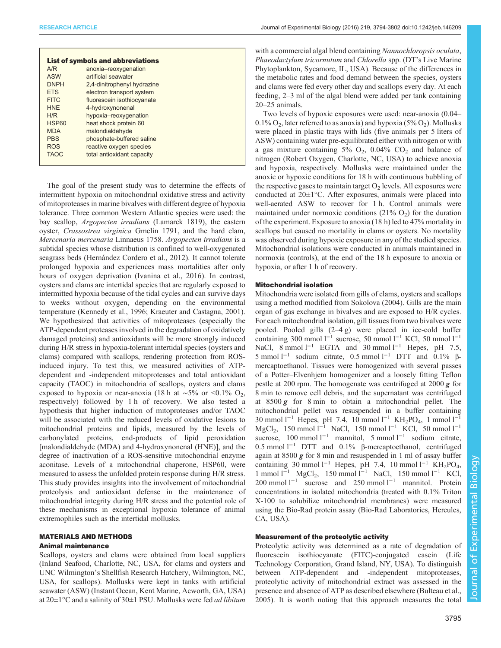|              | <b>List of symbols and abbreviations</b> |  |
|--------------|------------------------------------------|--|
| A/R          | anoxia-reoxygenation                     |  |
| ASW          | artificial seawater                      |  |
| <b>DNPH</b>  | 2,4-dinitrophenyl hydrazine              |  |
| <b>FTS</b>   | electron transport system                |  |
| FITC.        | fluorescein isothiocyanate               |  |
| <b>HNF</b>   | 4-hydroxynonenal                         |  |
| H/R          | hypoxia-reoxygenation                    |  |
| <b>HSP60</b> | heat shock protein 60                    |  |
| <b>MDA</b>   | malondialdehyde                          |  |
| <b>PRS</b>   | phosphate-buffered saline                |  |
| <b>ROS</b>   | reactive oxygen species                  |  |
| <b>TAOC</b>  | total antioxidant capacity               |  |
|              |                                          |  |

The goal of the present study was to determine the effects of intermittent hypoxia on mitochondrial oxidative stress and activity of mitoproteases in marine bivalves with different degree of hypoxia tolerance. Three common Western Atlantic species were used: the bay scallop, Argopecten irradians (Lamarck 1819), the eastern oyster, Crassostrea virginica Gmelin 1791, and the hard clam, Mercenaria mercenaria Linnaeus 1758. Argopecten irradians is a subtidal species whose distribution is confined to well-oxygenated seagrass beds ([Hernández Cordero et al., 2012\)](#page-7-0). It cannot tolerate prolonged hypoxia and experiences mass mortalities after only hours of oxygen deprivation ([Ivanina et al., 2016](#page-7-0)). In contrast, oysters and clams are intertidal species that are regularly exposed to intermitted hypoxia because of the tidal cycles and can survive days to weeks without oxygen, depending on the environmental temperature [\(Kennedy et al., 1996](#page-7-0); [Kraeuter and Castagna, 2001\)](#page-7-0). We hypothesized that activities of mitoproteases (especially the ATP-dependent proteases involved in the degradation of oxidatively damaged proteins) and antioxidants will be more strongly induced during H/R stress in hypoxia-tolerant intertidal species (oysters and clams) compared with scallops, rendering protection from ROSinduced injury. To test this, we measured activities of ATPdependent and -independent mitoproteases and total antioxidant capacity (TAOC) in mitochondria of scallops, oysters and clams exposed to hypoxia or near-anoxia (18 h at  $\sim$ 5% or <0.1% O<sub>2</sub>, respectively) followed by 1 h of recovery. We also tested a hypothesis that higher induction of mitoproteases and/or TAOC will be associated with the reduced levels of oxidative lesions to mitochondrial proteins and lipids, measured by the levels of carbonylated proteins, end-products of lipid peroxidation [malondialdehyde (MDA) and 4-hydroxynonenal (HNE)], and the degree of inactivation of a ROS-sensitive mitochondrial enzyme aconitase. Levels of a mitochondrial chaperone, HSP60, were measured to assess the unfolded protein response during H/R stress. This study provides insights into the involvement of mitochondrial proteolysis and antioxidant defense in the maintenance of mitochondrial integrity during H/R stress and the potential role of these mechanisms in exceptional hypoxia tolerance of animal extremophiles such as the intertidal mollusks.

## MATERIALS AND METHODS

#### Animal maintenance

Scallops, oysters and clams were obtained from local suppliers (Inland Seafood, Charlotte, NC, USA, for clams and oysters and UNC Wilmington's Shellfish Research Hatchery, Wilmington, NC, USA, for scallops). Mollusks were kept in tanks with artificial seawater (ASW) (Instant Ocean, Kent Marine, Acworth, GA, USA) at  $20\pm1\degree C$  and a salinity of  $30\pm1$  PSU. Mollusks were fed *ad libitum* 

with a commercial algal blend containing Nannochloropsis oculata, Phaeodactylum tricornutum and Chlorella spp. (DT's Live Marine Phytoplankton, Sycamore, IL, USA). Because of the differences in the metabolic rates and food demand between the species, oysters and clams were fed every other day and scallops every day. At each feeding, 2–3 ml of the algal blend were added per tank containing 20–25 animals.

Two levels of hypoxic exposures were used: near-anoxia (0.04–  $0.1\%$  O<sub>2</sub>, later referred to as anoxia) and hypoxia (5% O<sub>2</sub>). Mollusks were placed in plastic trays with lids (five animals per 5 liters of ASW) containing water pre-equilibrated either with nitrogen or with a gas mixture containing 5%  $O_2$ , 0.04%  $CO_2$  and balance of nitrogen (Robert Oxygen, Charlotte, NC, USA) to achieve anoxia and hypoxia, respectively. Mollusks were maintained under the anoxic or hypoxic conditions for 18 h with continuous bubbling of the respective gases to maintain target  $O<sub>2</sub>$  levels. All exposures were conducted at  $20 \pm 1$ °C. After exposures, animals were placed into well-aerated ASW to recover for 1 h. Control animals were maintained under normoxic conditions  $(21\% \text{ O}_2)$  for the duration of the experiment. Exposure to anoxia (18 h) led to 47% mortality in scallops but caused no mortality in clams or oysters. No mortality was observed during hypoxic exposure in any of the studied species. Mitochondrial isolations were conducted in animals maintained in normoxia (controls), at the end of the 18 h exposure to anoxia or hypoxia, or after 1 h of recovery.

#### Mitochondrial isolation

Mitochondria were isolated from gills of clams, oysters and scallops using a method modified from [Sokolova \(2004\)](#page-7-0). Gills are the main organ of gas exchange in bivalves and are exposed to H/R cycles. For each mitochondrial isolation, gill tissues from two bivalves were pooled. Pooled gills (2–4 g) were placed in ice-cold buffer containing 300 mmol  $l^{-1}$  sucrose, 50 mmol  $l^{-1}$  KCl, 50 mmol  $l^{-1}$ NaCl, 8 mmol  $l^{-1}$  EGTA and 30 mmol  $l^{-1}$  Hepes, pH 7.5, 5 mmol  $l^{-1}$  sodium citrate, 0.5 mmol  $l^{-1}$  DTT and 0.1% βmercaptoethanol. Tissues were homogenized with several passes of a Potter–Elvenhjem homogenizer and a loosely fitting Teflon pestle at 200 rpm. The homogenate was centrifuged at 2000  $g$  for 8 min to remove cell debris, and the supernatant was centrifuged at  $8500 g$  for 8 min to obtain a mitochondrial pellet. The mitochondrial pellet was resuspended in a buffer containing 30 mmol l<sup>-1</sup> Hepes, pH 7.4, 10 mmol l<sup>-1</sup> KH<sub>2</sub>PO<sub>4</sub>, 1 mmol l<sup>-1</sup> MgCl2, 150 mmol l<sup>−</sup><sup>1</sup> NaCl, 150 mmol l−<sup>1</sup> KCl, 50 mmol l−<sup>1</sup> sucrose, 100 mmol l<sup>−1</sup> mannitol, 5 mmol l<sup>−1</sup> sodium citrate, 0.5 mmol l−<sup>1</sup> DTT and 0.1% β-mercaptoethanol, centrifuged again at 8500 g for 8 min and resuspended in 1 ml of assay buffer containing 30 mmol l<sup>−1</sup> Hepes, pH 7.4, 10 mmol l<sup>−1</sup> KH<sub>2</sub>PO<sub>4</sub>, 1 mmol l<sup>−1</sup> MgCl<sub>2</sub>, 150 mmol l<sup>−1</sup> NaCl, 150 mmol l<sup>−1</sup> KCl, 200 mmol l<sup>−1</sup> sucrose and 250 mmol l<sup>−1</sup> mannitol. Protein concentrations in isolated mitochondria (treated with 0.1% Triton X-100 to solubilize mitochondrial membranes) were measured using the Bio-Rad protein assay (Bio-Rad Laboratories, Hercules, CA, USA).

# Measurement of the proteolytic activity

Proteolytic activity was determined as a rate of degradation of fluorescein isothiocyanate (FITC)-conjugated casein (Life Technology Corporation, Grand Island, NY, USA). To distinguish between ATP-dependent and -independent mitoproteases, proteolytic activity of mitochondrial extract was assessed in the presence and absence of ATP as described elsewhere ([Bulteau et al.,](#page-7-0) [2005\)](#page-7-0). It is worth noting that this approach measures the total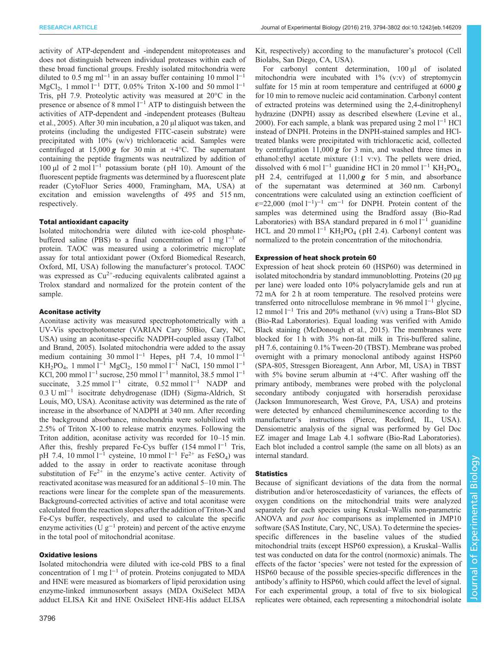activity of ATP-dependent and -independent mitoproteases and does not distinguish between individual proteases within each of these broad functional groups. Freshly isolated mitochondria were diluted to 0.5 mg ml−<sup>1</sup> in an assay buffer containing 10 mmol l−<sup>1</sup> MgCl<sub>2</sub>, 1 mmol l<sup>-1</sup> DTT, 0.05% Triton X-100 and 50 mmol l<sup>-1</sup> Tris, pH 7.9. Proteolytic activity was measured at 20°C in the presence or absence of 8 mmol  $1^{-1}$  ATP to distinguish between the activities of ATP-dependent and -independent proteases ([Bulteau](#page-7-0) [et al., 2005](#page-7-0)). After 30 min incubation, a 20 µl aliquot was taken, and proteins (including the undigested FITC-casein substrate) were precipitated with 10% (w/v) trichloracetic acid. Samples were centrifuged at 15,000 g for 30 min at  $+4$ °C. The supernatant containing the peptide fragments was neutralized by addition of 100 µl of 2 mol l−<sup>1</sup> potassium borate ( pH 10). Amount of the fluorescent peptide fragments was determined by a fluorescent plate reader (CytoFluor Series 4000, Framingham, MA, USA) at excitation and emission wavelengths of 495 and 515 nm, respectively.

## Total antioxidant capacity

Isolated mitochondria were diluted with ice-cold phosphatebuffered saline (PBS) to a final concentration of  $1 \text{ mg } 1^{-1}$  of protein. TAOC was measured using a colorimetric microplate assay for total antioxidant power (Oxford Biomedical Research, Oxford, MI, USA) following the manufacturer's protocol. TAOC was expressed as  $Cu^{2+}$ -reducing equivalents calibrated against a Trolox standard and normalized for the protein content of the sample.

#### Aconitase activity

Aconitase activity was measured spectrophotometrically with a UV-Vis spectrophotometer (VARIAN Cary 50Bio, Cary, NC, USA) using an aconitase-specific NADPH-coupled assay ([Talbot](#page-8-0) [and Brand, 2005\)](#page-8-0). Isolated mitochondria were added to the assay medium containing 30 mmol  $l^{-1}$  Hepes, pH 7.4, 10 mmol  $l^{-1}$ KH<sub>2</sub>PO<sub>4</sub>, 1 mmol l<sup>-1</sup> MgCl<sub>2</sub>, 150 mmol l<sup>-1</sup> NaCl, 150 mmol l<sup>-1</sup> KCl, 200 mmol l−<sup>1</sup> sucrose, 250 mmol l−<sup>1</sup> mannitol, 38.5 mmol l−<sup>1</sup> succinate, 3.25 mmol  $l^{-1}$  citrate, 0.52 mmol  $l^{-1}$  NADP and 0.3 U ml−<sup>1</sup> isocitrate dehydrogenase (IDH) (Sigma-Aldrich, St Louis, MO, USA). Aconitase activity was determined as the rate of increase in the absorbance of NADPH at 340 nm. After recording the background absorbance, mitochondria were solubilized with 2.5% of Triton X-100 to release matrix enzymes. Following the Triton addition, aconitase activity was recorded for 10–15 min. After this, freshly prepared Fe-Cys buffer  $(154 \text{ mmol } 1^{-1}$  Tris, pH 7.4, 10 mmol l<sup>-1</sup> cysteine, 10 mmol l<sup>-1</sup> Fe<sup>2+</sup> as FeSO<sub>4</sub>) was added to the assay in order to reactivate aconitase through substitution of  $Fe^{2+}$  in the enzyme's active center. Activity of reactivated aconitase was measured for an additional 5–10 min. The reactions were linear for the complete span of the measurements. Background-corrected activities of active and total aconitase were calculated from the reaction slopes after the addition of Triton-X and Fe-Cys buffer, respectively, and used to calculate the specific enzyme activities (U  $g^{-1}$  protein) and percent of the active enzyme in the total pool of mitochondrial aconitase.

#### Oxidative lesions

Isolated mitochondria were diluted with ice-cold PBS to a final concentration of 1 mg l−<sup>1</sup> of protein. Proteins conjugated to MDA and HNE were measured as biomarkers of lipid peroxidation using enzyme-linked immunosorbent assays (MDA OxiSelect MDA adduct ELISA Kit and HNE OxiSelect HNE-His adduct ELISA Kit, respectively) according to the manufacturer's protocol (Cell Biolabs, San Diego, CA, USA).

For carbonyl content determination, 100 µl of isolated mitochondria were incubated with 1% (v:v) of streptomycin sulfate for 15 min at room temperature and centrifuged at  $6000 g$ for 10 min to remove nucleic acid contamination. Carbonyl content of extracted proteins was determined using the 2,4-dinitrophenyl hydrazine (DNPH) assay as described elsewhere ([Levine et al.,](#page-7-0) [2000\)](#page-7-0). For each sample, a blank was prepared using 2 mol  $1^{-1}$  HCl instead of DNPH. Proteins in the DNPH-stained samples and HCltreated blanks were precipitated with trichloracetic acid, collected by centrifugation 11,000  $g$  for 3 min, and washed three times in ethanol:ethyl acetate mixture (1:1 v:v). The pellets were dried, dissolved with 6 mol l<sup>-1</sup> guanidine HCl in 20 mmol l<sup>-1</sup> KH<sub>2</sub>PO<sub>4</sub>, pH 2.4, centrifuged at  $11,000 \, \text{g}$  for 5 min, and absorbance of the supernatant was determined at 360 nm. Carbonyl concentrations were calculated using an extinction coefficient of  $\varepsilon$ =22,000 (mol l<sup>-1</sup>)<sup>-1</sup> cm<sup>-1</sup> for DNPH. Protein content of the samples was determined using the Bradford assay (Bio-Rad Laboratories) with BSA standard prepared in 6 mol  $l^{-1}$  guanidine HCL and 20 mmol  $l^{-1}$  KH<sub>2</sub>PO<sub>4</sub> (pH 2.4). Carbonyl content was normalized to the protein concentration of the mitochondria.

# Expression of heat shock protein 60

Expression of heat shock protein 60 (HSP60) was determined in isolated mitochondria by standard immunoblotting. Proteins (20 µg per lane) were loaded onto 10% polyacrylamide gels and run at 72 mA for 2 h at room temperature. The resolved proteins were transferred onto nitrocellulose membrane in 96 mmol l−<sup>1</sup> glycine, 12 mmol l−<sup>1</sup> Tris and 20% methanol (v/v) using a Trans-Blot SD (Bio-Rad Laboratories). Equal loading was verified with Amido Black staining [\(McDonough et al., 2015](#page-7-0)). The membranes were blocked for 1 h with 3% non-fat milk in Tris-buffered saline, pH 7.6, containing 0.1% Tween-20 (TBST). Membrane was probed overnight with a primary monoclonal antibody against HSP60 (SPA-805, Stressgen Bioreagent, Ann Arbor, MI, USA) in TBST with 5% bovine serum albumin at  $+4$ °C. After washing off the primary antibody, membranes were probed with the polyclonal secondary antibody conjugated with horseradish peroxidase (Jackson Immunoresearch, West Grove, PA, USA) and proteins were detected by enhanced chemiluminescence according to the manufacturer's instructions (Pierce, Rockford, IL, USA). Densiometric analysis of the signal was performed by Gel Doc EZ imager and Image Lab 4.1 software (Bio-Rad Laboratories). Each blot included a control sample (the same on all blots) as an internal standard.

# **Statistics**

Because of significant deviations of the data from the normal distribution and/or heteroscedasticity of variances, the effects of oxygen conditions on the mitochondrial traits were analyzed separately for each species using Kruskal–Wallis non-parametric ANOVA and post hoc comparisons as implemented in JMP10 software (SAS Institute, Cary, NC, USA). To determine the speciesspecific differences in the baseline values of the studied mitochondrial traits (except HSP60 expression), a Kruskal–Wallis test was conducted on data for the control (normoxic) animals. The effects of the factor 'species' were not tested for the expression of HSP60 because of the possible species-specific differences in the antibody's affinity to HSP60, which could affect the level of signal. For each experimental group, a total of five to six biological replicates were obtained, each representing a mitochondrial isolate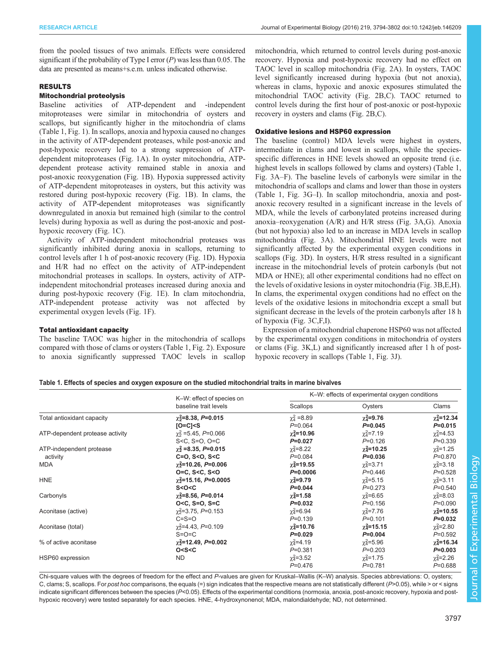<span id="page-3-0"></span>from the pooled tissues of two animals. Effects were considered significant if the probability of Type I error  $(P)$  was less than 0.05. The data are presented as means+s.e.m. unless indicated otherwise.

# RESULTS

# Mitochondrial proteolysis

Baseline activities of ATP-dependent and -independent mitoproteases were similar in mitochondria of oysters and scallops, but significantly higher in the mitochondria of clams (Table 1, [Fig. 1\)](#page-4-0). In scallops, anoxia and hypoxia caused no changes in the activity of ATP-dependent proteases, while post-anoxic and post-hypoxic recovery led to a strong suppression of ATPdependent mitoproteases [\(Fig. 1](#page-4-0)A). In oyster mitochondria, ATPdependent protease activity remained stable in anoxia and post-anoxic reoxygenation ([Fig. 1](#page-4-0)B). Hypoxia suppressed activity of ATP-dependent mitoproteases in oysters, but this activity was restored during post-hypoxic recovery ([Fig. 1](#page-4-0)B). In clams, the activity of ATP-dependent mitoproteases was significantly downregulated in anoxia but remained high (similar to the control levels) during hypoxia as well as during the post-anoxic and posthypoxic recovery [\(Fig. 1C](#page-4-0)).

Activity of ATP-independent mitochondrial proteases was significantly inhibited during anoxia in scallops, returning to control levels after 1 h of post-anoxic recovery [\(Fig. 1D](#page-4-0)). Hypoxia and H/R had no effect on the activity of ATP-independent mitochondrial proteases in scallops. In oysters, activity of ATPindependent mitochondrial proteases increased during anoxia and during post-hypoxic recovery [\(Fig. 1E](#page-4-0)). In clam mitochondria, ATP-independent protease activity was not affected by experimental oxygen levels ([Fig. 1F](#page-4-0)).

## Total antioxidant capacity

The baseline TAOC was higher in the mitochondria of scallops compared with those of clams or oysters (Table 1, [Fig. 2\)](#page-4-0). Exposure to anoxia significantly suppressed TAOC levels in scallop mitochondria, which returned to control levels during post-anoxic recovery. Hypoxia and post-hypoxic recovery had no effect on TAOC level in scallop mitochondria [\(Fig. 2A](#page-4-0)). In oysters, TAOC level significantly increased during hypoxia (but not anoxia), whereas in clams, hypoxic and anoxic exposures stimulated the mitochondrial TAOC activity ([Fig. 2](#page-4-0)B,C). TAOC returned to control levels during the first hour of post-anoxic or post-hypoxic recovery in oysters and clams ([Fig. 2](#page-4-0)B,C).

## Oxidative lesions and HSP60 expression

The baseline (control) MDA levels were highest in oysters, intermediate in clams and lowest in scallops, while the speciesspecific differences in HNE levels showed an opposite trend (i.e. highest levels in scallops followed by clams and oysters) (Table 1, [Fig. 3](#page-5-0)A–F). The baseline levels of carbonyls were similar in the mitochondria of scallops and clams and lower than those in oysters (Table 1, [Fig. 3](#page-5-0)G–I). In scallop mitochondria, anoxia and postanoxic recovery resulted in a significant increase in the levels of MDA, while the levels of carbonylated proteins increased during anoxia–reoxygenation (A/R) and H/R stress ([Fig. 3](#page-5-0)A,G). Anoxia (but not hypoxia) also led to an increase in MDA levels in scallop mitochondria [\(Fig. 3A](#page-5-0)). Mitochondrial HNE levels were not significantly affected by the experimental oxygen conditions in scallops ([Fig. 3D](#page-5-0)). In oysters, H/R stress resulted in a significant increase in the mitochondrial levels of protein carbonyls (but not MDA or HNE); all other experimental conditions had no effect on the levels of oxidative lesions in oyster mitochondria [\(Fig. 3B](#page-5-0),E,H). In clams, the experimental oxygen conditions had no effect on the levels of the oxidative lesions in mitochondria except a small but significant decrease in the levels of the protein carbonyls after 18 h of hypoxia ([Fig. 3](#page-5-0)C,F,I).

Expression of a mitochondrial chaperone HSP60 was not affected by the experimental oxygen conditions in mitochondria of oysters or clams ([Fig. 3](#page-5-0)K,L) and significantly increased after 1 h of posthypoxic recovery in scallops (Table 1, [Fig. 3](#page-5-0)J).

## Table 1. Effects of species and oxygen exposure on the studied mitochondrial traits in marine bivalves

|                                 | K-W: effect of species on<br>baseline trait levels                                                                     | K-W: effects of experimental oxygen conditions |                   |                            |  |
|---------------------------------|------------------------------------------------------------------------------------------------------------------------|------------------------------------------------|-------------------|----------------------------|--|
|                                 |                                                                                                                        | Scallops                                       | Oysters           | Clams                      |  |
| Total antioxidant capacity      | $\chi$ <sup>2</sup> =8.38, P=0.015                                                                                     | $\chi^2_4$ =8.89                               | $\chi^2$ =9.76    | $\chi$ <sub>4</sub> =12.34 |  |
|                                 | $IO=C1S$                                                                                                               | $P=0.064$                                      | $P=0.045$         | $P = 0.015$                |  |
| ATP-dependent protease activity | $\gamma_2^2$ = 5.45, P=0.066                                                                                           | $\chi^2$ =10.96                                | $\chi^2 = 7.19$   | $\chi_4^2$ =4.53           |  |
|                                 | $S < C$ , $S = O$ , $O = C$                                                                                            | $P=0.027$                                      | $P=0.126$         | $P = 0.339$                |  |
| ATP-independent protease        | $\gamma_2^2$ =8.35, P=0.015                                                                                            | $\chi^2_4 = 8.22$                              | $\chi^2$ =10.25   | $\chi^2$ =1.25             |  |
| activity                        | $C = 0. S < 0. S < C$                                                                                                  | $P=0.084$                                      | $P=0.036$         | $P = 0.870$                |  |
| <b>MDA</b>                      | $\chi$ <sup>2</sup> =10.26, P=0.006                                                                                    | $\chi$ <sub>4</sub> =19.55                     | $\chi_4^2 = 3.71$ | $\chi_4^2 = 3.18$          |  |
|                                 | 0=C, S <c, s<0<="" td=""><td><math>P=0.0006</math></td><td><math>P=0.446</math></td><td><math>P=0.528</math></td></c,> | $P=0.0006$                                     | $P=0.446$         | $P=0.528$                  |  |
| <b>HNE</b>                      | $\chi^2$ =15.16, P=0.0005                                                                                              | $\chi^2$ =9.79                                 | $\chi^2 = 5.15$   | $\chi^2 = 3.11$            |  |
|                                 | S < O < C                                                                                                              | $P=0.044$                                      | $P=0.273$         | $P=0.540$                  |  |
| Carbonyls                       | $\chi^2$ =8.56, P=0.014                                                                                                | $\chi^2$ =1.58                                 | $\chi^2$ =6.65    | $\chi_4^2 = 8.03$          |  |
|                                 | $O < C$ , $S = O$ , $S = C$                                                                                            | $P=0.032$                                      | $P = 0.156$       | $P = 0.090$                |  |
| Aconitase (active)              | $\gamma$ <sup>2</sup> =3.75, P=0.153                                                                                   | $\chi^2$ =6.94                                 | $\chi^2$ =7.76    | $\chi$ <sub>4</sub> =10.55 |  |
|                                 | $C = S = O$                                                                                                            | $P=0.139$                                      | $P = 0.101$       | $P=0.032$                  |  |
| Aconitase (total)               | $\gamma$ <sup>2</sup> =4.43, P=0.109                                                                                   | $\chi^2$ =10.76                                | $\chi_4^2$ =15.15 | $\chi_4^2 = 2.80$          |  |
|                                 | $S=O=Cl$                                                                                                               | $P=0.029$                                      | $P=0.004$         | $P=0.592$                  |  |
| % of active aconitase           | $\chi^2$ =12.49, P=0.002                                                                                               | $\chi^2$ =4.19                                 | $\chi^2 = 5.96$   | $\chi$ <sub>4</sub> =16.34 |  |
|                                 | O < S < C                                                                                                              | $P = 0.381$                                    | $P=0.203$         | $P=0.003$                  |  |
| HSP60 expression                | ND.                                                                                                                    | $\chi_4^2 = 3.52$                              | $\chi_4^2$ =1.75  | $\chi_4^2 = 2.26$          |  |
|                                 |                                                                                                                        | $P = 0.476$                                    | $P = 0.781$       | $P = 0.688$                |  |

Chi-square values with the degrees of freedom for the effect and P-values are given for Kruskal–Wallis (K–W) analysis. Species abbreviations: O, oysters; C, clams; S, scallops. For post hoc comparisons, the equals (=) sign indicates that the respective means are not statistically different (P>0.05), while > or < signs indicate significant differences between the species (P<0.05). Effects of the experimental conditions (normoxia, anoxia, post-anoxic recovery, hypoxia and posthypoxic recovery) were tested separately for each species. HNE, 4-hydroxynonenol; MDA, malondialdehyde; ND, not determined.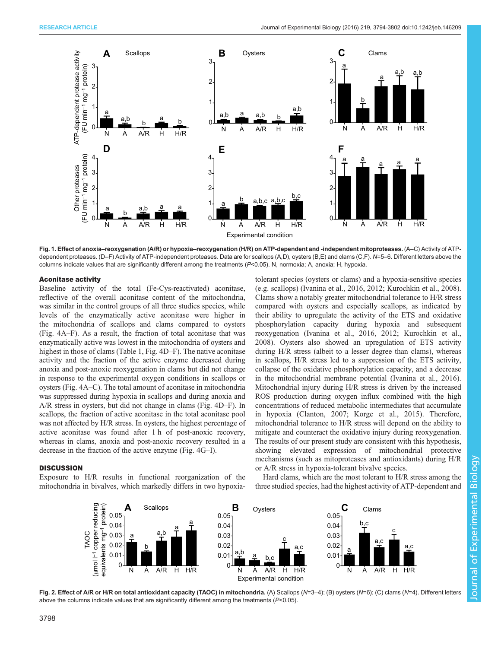<span id="page-4-0"></span>

Fig. 1. Effect of anoxia–reoxygenation (A/R) or hypoxia–reoxygenation (H/R) on ATP-dependent and -independent mitoproteases. (A–C) Activity of ATPdependent proteases. (D–F) Activity of ATP-independent proteases. Data are for scallops (A,D), oysters (B,E) and clams (C,F). N=5–6. Different letters above the columns indicate values that are significantly different among the treatments (P<0.05). N, normoxia; A, anoxia; H, hypoxia.

#### Aconitase activity

Baseline activity of the total (Fe-Cys-reactivated) aconitase, reflective of the overall aconitase content of the mitochondria, was similar in the control groups of all three studies species, while levels of the enzymatically active aconitase were higher in the mitochondria of scallops and clams compared to oysters [\(Fig. 4A](#page-6-0)–F). As a result, the fraction of total aconitase that was enzymatically active was lowest in the mitochondria of oysters and highest in those of clams [\(Table 1](#page-3-0), [Fig. 4D](#page-6-0)–F). The native aconitase activity and the fraction of the active enzyme decreased during anoxia and post-anoxic reoxygenation in clams but did not change in response to the experimental oxygen conditions in scallops or oysters ([Fig. 4](#page-6-0)A–C). The total amount of aconitase in mitochondria was suppressed during hypoxia in scallops and during anoxia and A/R stress in oysters, but did not change in clams [\(Fig. 4D](#page-6-0)–F). In scallops, the fraction of active aconitase in the total aconitase pool was not affected by H/R stress. In oysters, the highest percentage of active aconitase was found after 1 h of post-anoxic recovery, whereas in clams, anoxia and post-anoxic recovery resulted in a decrease in the fraction of the active enzyme ([Fig. 4](#page-6-0)G–I).

## **DISCUSSION**

Exposure to H/R results in functional reorganization of the mitochondria in bivalves, which markedly differs in two hypoxiatolerant species (oysters or clams) and a hypoxia-sensitive species (e.g. scallops) [\(Ivanina et al., 2016, 2012; Kurochkin et al., 2008\)](#page-7-0). Clams show a notably greater mitochondrial tolerance to H/R stress compared with oysters and especially scallops, as indicated by their ability to upregulate the activity of the ETS and oxidative phosphorylation capacity during hypoxia and subsequent reoxygenation ([Ivanina et al., 2016, 2012](#page-7-0); [Kurochkin et al.,](#page-7-0) [2008\)](#page-7-0). Oysters also showed an upregulation of ETS activity during H/R stress (albeit to a lesser degree than clams), whereas in scallops, H/R stress led to a suppression of the ETS activity, collapse of the oxidative phosphorylation capacity, and a decrease in the mitochondrial membrane potential [\(Ivanina et al., 2016\)](#page-7-0). Mitochondrial injury during H/R stress is driven by the increased ROS production during oxygen influx combined with the high concentrations of reduced metabolic intermediates that accumulate in hypoxia ([Clanton, 2007; Korge et al., 2015](#page-7-0)). Therefore, mitochondrial tolerance to H/R stress will depend on the ability to mitigate and counteract the oxidative injury during reoxygenation. The results of our present study are consistent with this hypothesis, showing elevated expression of mitochondrial protective mechanisms (such as mitoproteases and antioxidants) during H/R or A/R stress in hypoxia-tolerant bivalve species.

Hard clams, which are the most tolerant to H/R stress among the three studied species, had the highest activity of ATP-dependent and



Fig. 2. Effect of A/R or H/R on total antioxidant capacity (TAOC) in mitochondria. (A) Scallops (N=3-4); (B) oysters (N=6); (C) clams (N=4). Different letters above the columns indicate values that are significantly different among the treatments  $(P<0.05)$ .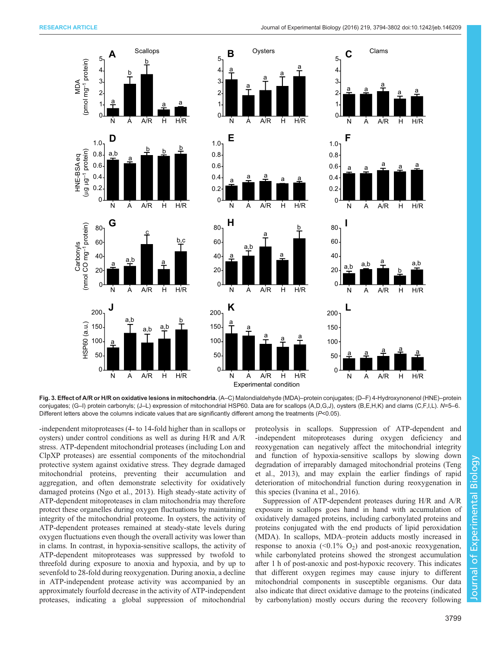MDA (pmol mg–1 protein)

pmol mg<sup>-1</sup> protein)

HNE-BSA eq (µg µg–1 protein)

HNE-BSA eq<br>(µg µg<sup>-1</sup> protein)

Carbonyls<br>(nmol CO mg<sup>-1</sup> protein) (nmol CO mg–1 protein)

 $\Omega$ 0.2 0.4 0.6 0.8 1.0

HSP60 (a.u.)

HSP60 (a.u.)

a

a,b

 $a,b \frac{a,b}{b}$ 

b

<span id="page-5-0"></span>

a a a

Fig. 3. Effect of A/R or H/R on oxidative lesions in mitochondria. (A–C) Malondialdehyde (MDA)–protein conjugates; (D–F) 4-Hydroxynonenol (HNE)–protein conjugates; (G–I) protein carbonyls; (J–L) expression of mitochondrial HSP60. Data are for scallops (A,D,G,J), oysters (B,E,H,K) and clams (C,F,I,L). N=5–6. Different letters above the columns indicate values that are significantly different among the treatments (P<0.05).

Experimental condition N A A/R H H/R N A A/R H H/R N A A/R H H/R

N A A/R H H/R N A A/R H H/R N A A/R H H/R

a<br>Ta

**J K L**

 $\Omega$ 

-independent mitoproteases (4- to 14-fold higher than in scallops or oysters) under control conditions as well as during H/R and A/R stress. ATP-dependent mitochondrial proteases (including Lon and ClpXP proteases) are essential components of the mitochondrial protective system against oxidative stress. They degrade damaged mitochondrial proteins, preventing their accumulation and aggregation, and often demonstrate selectivity for oxidatively damaged proteins [\(Ngo et al., 2013](#page-7-0)). High steady-state activity of ATP-dependent mitoproteases in clam mitochondria may therefore protect these organelles during oxygen fluctuations by maintaining integrity of the mitochondrial proteome. In oysters, the activity of ATP-dependent proteases remained at steady-state levels during oxygen fluctuations even though the overall activity was lower than in clams. In contrast, in hypoxia-sensitive scallops, the activity of ATP-dependent mitoproteases was suppressed by twofold to threefold during exposure to anoxia and hypoxia, and by up to sevenfold to 28-fold during reoxygenation. During anoxia, a decline in ATP-independent protease activity was accompanied by an approximately fourfold decrease in the activity of ATP-independent proteases, indicating a global suppression of mitochondrial

proteolysis in scallops. Suppression of ATP-dependent and -independent mitoproteases during oxygen deficiency and reoxygenation can negatively affect the mitochondrial integrity and function of hypoxia-sensitive scallops by slowing down degradation of irreparably damaged mitochondrial proteins ([Teng](#page-8-0) [et al., 2013](#page-8-0)), and may explain the earlier findings of rapid deterioration of mitochondrial function during reoxygenation in this species [\(Ivanina et al., 2016\)](#page-7-0).

0

<u>a a fl.</u> fl.

Suppression of ATP-dependent proteases during H/R and A/R exposure in scallops goes hand in hand with accumulation of oxidatively damaged proteins, including carbonylated proteins and proteins conjugated with the end products of lipid peroxidation (MDA). In scallops, MDA–protein adducts mostly increased in response to anoxia ( $\leq 0.1\%$  O<sub>2</sub>) and post-anoxic reoxygenation, while carbonylated proteins showed the strongest accumulation after 1 h of post-anoxic and post-hypoxic recovery. This indicates that different oxygen regimes may cause injury to different mitochondrial components in susceptible organisms. Our data also indicate that direct oxidative damage to the proteins (indicated by carbonylation) mostly occurs during the recovery following

Journal of Experimental Biology

Journal of

Experimental Biology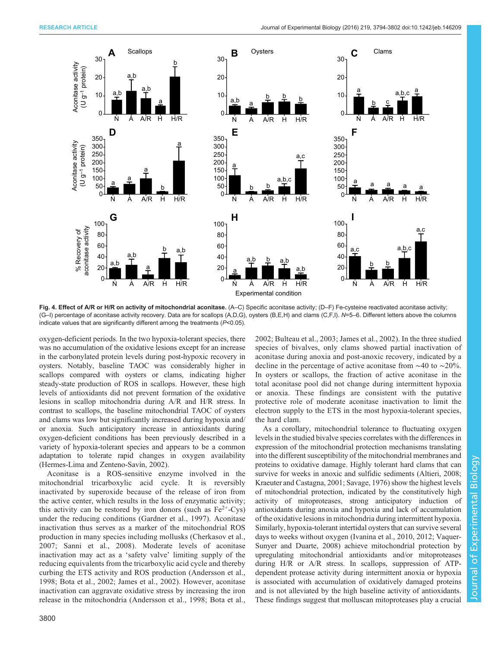<span id="page-6-0"></span>

Fig. 4. Effect of A/R or H/R on activity of mitochondrial aconitase. (A–C) Specific aconitase activity; (D–F) Fe-cysteine reactivated aconitase activity; (G–I) percentage of aconitase activity recovery. Data are for scallops (A,D,G), oysters (B,E,H) and clams (C,F,I). N=5–6. Different letters above the columns indicate values that are significantly different among the treatments (P<0.05).

oxygen-deficient periods. In the two hypoxia-tolerant species, there was no accumulation of the oxidative lesions except for an increase in the carbonylated protein levels during post-hypoxic recovery in oysters. Notably, baseline TAOC was considerably higher in scallops compared with oysters or clams, indicating higher steady-state production of ROS in scallops. However, these high levels of antioxidants did not prevent formation of the oxidative lesions in scallop mitochondria during A/R and H/R stress. In contrast to scallops, the baseline mitochondrial TAOC of oysters and clams was low but significantly increased during hypoxia and/ or anoxia. Such anticipatory increase in antioxidants during oxygen-deficient conditions has been previously described in a variety of hypoxia-tolerant species and appears to be a common adaptation to tolerate rapid changes in oxygen availability [\(Hermes-Lima and Zenteno-Savín, 2002\)](#page-7-0).

Aconitase is a ROS-sensitive enzyme involved in the mitochondrial tricarboxylic acid cycle. It is reversibly inactivated by superoxide because of the release of iron from the active center, which results in the loss of enzymatic activity; this activity can be restored by iron donors (such as  $Fe^{2+}-Cys$ ) under the reducing conditions ([Gardner et al., 1997](#page-7-0)). Aconitase inactivation thus serves as a marker of the mitochondrial ROS production in many species including mollusks ([Cherkasov et al.,](#page-7-0) [2007](#page-7-0); [Sanni et al., 2008](#page-7-0)). Moderate levels of aconitase inactivation may act as a 'safety valve' limiting supply of the reducing equivalents from the tricarboxylic acid cycle and thereby curbing the ETS activity and ROS production ([Andersson et al.,](#page-7-0) [1998](#page-7-0); [Bota et al., 2002; James et al., 2002](#page-7-0)). However, aconitase inactivation can aggravate oxidative stress by increasing the iron release in the mitochondria [\(Andersson et al., 1998; Bota et al.,](#page-7-0) [2002](#page-7-0); [Bulteau et al., 2003; James et al., 2002\)](#page-7-0). In the three studied species of bivalves, only clams showed partial inactivation of aconitase during anoxia and post-anoxic recovery, indicated by a decline in the percentage of active aconitase from ∼40 to ∼20%. In oysters or scallops, the fraction of active aconitase in the total aconitase pool did not change during intermittent hypoxia or anoxia. These findings are consistent with the putative protective role of moderate aconitase inactivation to limit the electron supply to the ETS in the most hypoxia-tolerant species, the hard clam.

As a corollary, mitochondrial tolerance to fluctuating oxygen levels in the studied bivalve species correlates with the differences in expression of the mitochondrial protection mechanisms translating into the different susceptibility of the mitochondrial membranes and proteins to oxidative damage. Highly tolerant hard clams that can survive for weeks in anoxic and sulfidic sediments ([Altieri, 2008](#page-7-0); [Kraeuter and Castagna, 2001](#page-7-0); [Savage, 1976\)](#page-7-0) show the highest levels of mitochondrial protection, indicated by the constitutively high activity of mitoproteases, strong anticipatory induction of antioxidants during anoxia and hypoxia and lack of accumulation of the oxidative lesions in mitochondria during intermittent hypoxia. Similarly, hypoxia-tolerant intertidal oysters that can survive several days to weeks without oxygen [\(Ivanina et al., 2010](#page-7-0), [2012](#page-7-0); [Vaquer-](#page-8-0)[Sunyer and Duarte, 2008](#page-8-0)) achieve mitochondrial protection by upregulating mitochondrial antioxidants and/or mitoproteases during H/R or A/R stress. In scallops, suppression of ATPdependent protease activity during intermittent anoxia or hypoxia is associated with accumulation of oxidatively damaged proteins and is not alleviated by the high baseline activity of antioxidants. These findings suggest that molluscan mitoproteases play a crucial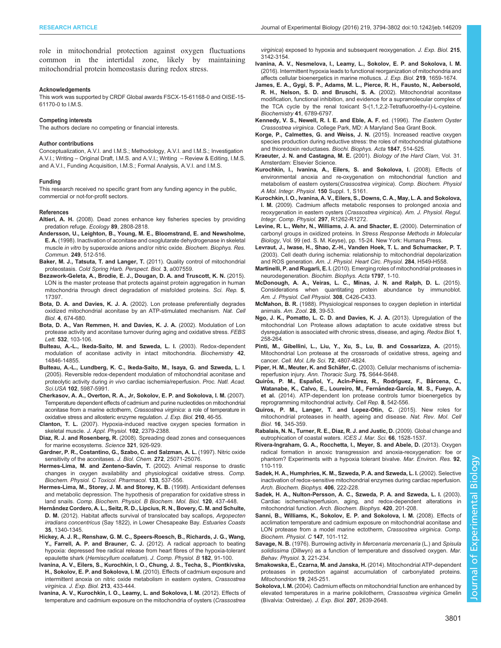<span id="page-7-0"></span>role in mitochondrial protection against oxygen fluctuations common in the intertidal zone, likely by maintaining mitochondrial protein homeostasis during redox stress.

#### Acknowledgements

This work was supported by CRDF Global awards FSCX-15-61168-0 and OISE-15- 61170-0 to I.M.S.

#### Competing interests

The authors declare no competing or financial interests.

#### Author contributions

Conceptualization, A.V.I. and I.M.S.; Methodology, A.V.I. and I.M.S.; Investigation A.V.I.; Writing – Original Draft, I.M.S. and A.V.I.; Writing – Review & Editing, I.M.S. and A.V.I., Funding Acquisition, I.M.S.; Formal Analysis, A.V.I. and I.M.S.

#### Funding

This research received no specific grant from any funding agency in the public, commercial or not-for-profit sectors.

#### References

Altieri, A. H. [\(2008\). Dead zones enhance key fisheries species by providing](http://dx.doi.org/10.1890/07-0994.1) [predation refuge.](http://dx.doi.org/10.1890/07-0994.1) Ecology 89, 2808-2818.

- [Andersson, U., Leighton, B., Young, M. E., Bloomstrand, E. and Newsholme,](http://dx.doi.org/10.1006/bbrc.1998.9171) E. A. [\(1998\). Inactivation of aconitase and oxoglutarate dehydrogenase in skeletal](http://dx.doi.org/10.1006/bbrc.1998.9171) muscle in vitro [by superoxide anions and/or nitric oxide.](http://dx.doi.org/10.1006/bbrc.1998.9171) Biochem. Biophys. Res. Commun. 249[, 512-516.](http://dx.doi.org/10.1006/bbrc.1998.9171)
- [Baker, M. J., Tatsuta, T. and Langer, T.](http://dx.doi.org/10.1101/cshperspect.a007559) (2011). Quality control of mitochondrial proteostasis. [Cold Spring Harb. Perspect. Biol.](http://dx.doi.org/10.1101/cshperspect.a007559) 3, a007559.
- [Bezawork-Geleta, A., Brodie, E. J., Dougan, D. A. and Truscott, K. N.](http://dx.doi.org/10.1038/srep17397) (2015). [LON is the master protease that protects against protein aggregation in human](http://dx.doi.org/10.1038/srep17397) [mitochondria through direct degradation of misfolded proteins.](http://dx.doi.org/10.1038/srep17397) Sci. Rep. 5, [17397.](http://dx.doi.org/10.1038/srep17397)
- Bota, D. A. and Davies, K. J. A. [\(2002\). Lon protease preferentially degrades](http://dx.doi.org/10.1038/ncb836) [oxidized mitochondrial aconitase by an ATP-stimulated mechanism.](http://dx.doi.org/10.1038/ncb836) Nat. Cell Biol. 4[, 674-680.](http://dx.doi.org/10.1038/ncb836)
- [Bota, D. A., Van Remmen, H. and Davies, K. J. A.](http://dx.doi.org/10.1016/S0014-5793(02)03638-4) (2002). Modulation of Lon [protease activity and aconitase turnover during aging and oxidative stress.](http://dx.doi.org/10.1016/S0014-5793(02)03638-4) FEBS Lett. 532[, 103-106.](http://dx.doi.org/10.1016/S0014-5793(02)03638-4)
- [Bulteau, A.-L., Ikeda-Saito, M. and Szweda, L. I.](http://dx.doi.org/10.1021/bi0353979) (2003). Redox-dependent [modulation of aconitase activity in intact mitochondria.](http://dx.doi.org/10.1021/bi0353979) Biochemistry 42, [14846-14855.](http://dx.doi.org/10.1021/bi0353979)
- [Bulteau, A.-L., Lundberg, K. C., Ikeda-Saito, M., Isaya, G. and Szweda, L. I.](http://dx.doi.org/10.1073/pnas.0501519102) [\(2005\). Reversible redox-dependent modulation of mitochondrial aconitase and](http://dx.doi.org/10.1073/pnas.0501519102) proteolytic activity during in vivo [cardiac ischemia/reperfusion.](http://dx.doi.org/10.1073/pnas.0501519102) Proc. Natl. Acad. Sci.USA 102[, 5987-5991.](http://dx.doi.org/10.1073/pnas.0501519102)
- [Cherkasov, A. A., Overton, R. A., Jr, Sokolov, E. P. and Sokolova, I. M.](http://dx.doi.org/10.1242/jeb.02589) (2007). [Temperature dependent effects of cadmium and purine nucleotides on mitochondrial](http://dx.doi.org/10.1242/jeb.02589) [aconitase from a marine ectotherm,](http://dx.doi.org/10.1242/jeb.02589) Crassostrea virginica: a role of temperature in [oxidative stress and allosteric enzyme regulation.](http://dx.doi.org/10.1242/jeb.02589) J. Exp. Biol. 210, 46-55.
- Clanton, T. L. [\(2007\). Hypoxia-induced reactive oxygen species formation in](http://dx.doi.org/10.1152/japplphysiol.01298.2006) skeletal muscle. [J. Appl. Physiol.](http://dx.doi.org/10.1152/japplphysiol.01298.2006) 102, 2379-2388.
- Diaz, R. J. and Rosenberg, R. [\(2008\). Spreading dead zones and consequences](http://dx.doi.org/10.1126/science.1156401) [for marine ecosystems.](http://dx.doi.org/10.1126/science.1156401) Science 321, 926-929.
- [Gardner, P. R., Costantino, G., Szabo, C. and Salzman, A. L.](http://dx.doi.org/10.1074/jbc.272.40.25071) (1997). Nitric oxide [sensitivity of the aconitases.](http://dx.doi.org/10.1074/jbc.272.40.25071) J. Biol. Chem. 272, 25071-25076.
- [Hermes-Lima, M. and Zenteno-Sav](http://dx.doi.org/10.1016/S1532-0456(02)00080-7)ín, T. (2002). Animal response to drastic [changes in oxygen availability and physiological oxidative stress.](http://dx.doi.org/10.1016/S1532-0456(02)00080-7) Comp. [Biochem. Physiol. C Toxicol. Pharmacol.](http://dx.doi.org/10.1016/S1532-0456(02)00080-7) 133, 537-556.
- [Hermes-Lima, M., Storey, J. M. and Storey, K. B.](http://dx.doi.org/10.1016/S0305-0491(98)10053-6) (1998). Antioxidant defenses [and metabolic depression. The hypothesis of preparation for oxidative stress in](http://dx.doi.org/10.1016/S0305-0491(98)10053-6) land snails. [Comp. Biochem. Physiol. B Biochem. Mol. Biol.](http://dx.doi.org/10.1016/S0305-0491(98)10053-6) 120, 437-448.
- Herná[ndez Cordero, A. L., Seitz, R. D., Lipcius, R. N., Bovery, C. M. and Schulte,](http://dx.doi.org/10.1007/s12237-012-9510-2) D. M. [\(2012\). Habitat affects survival of translocated bay scallops,](http://dx.doi.org/10.1007/s12237-012-9510-2) Argopecten irradians concentricus [\(Say 1822\), in Lower Chesapeake Bay.](http://dx.doi.org/10.1007/s12237-012-9510-2) Estuaries Coasts 35[, 1340-1345.](http://dx.doi.org/10.1007/s12237-012-9510-2)
- [Hickey, A. J. R., Renshaw, G. M. C., Speers-Roesch, B., Richards, J. G., Wang,](http://dx.doi.org/10.1007/s00360-011-0599-6) [Y., Farrell, A. P. and Brauner, C. J.](http://dx.doi.org/10.1007/s00360-011-0599-6) (2012). A radical approach to beating [hypoxia: depressed free radical release from heart fibres of the hypoxia-tolerant](http://dx.doi.org/10.1007/s00360-011-0599-6) epaulette shark ([Hemiscyllum ocellatum](http://dx.doi.org/10.1007/s00360-011-0599-6)). J. Comp. Physiol. B 182, 91-100.
- [Ivanina, A. V., Eilers, S., Kurochkin, I. O., Chung, J. S., Techa, S., Piontkivska,](http://dx.doi.org/10.1242/jeb.038059) H., Sokolov, E. P. and Sokolova, I. M. [\(2010\). Effects of cadmium exposure and](http://dx.doi.org/10.1242/jeb.038059) [intermittent anoxia on nitric oxide metabolism in eastern oysters,](http://dx.doi.org/10.1242/jeb.038059) Crassostrea virginica. [J. Exp. Biol.](http://dx.doi.org/10.1242/jeb.038059) 213, 433-444.
- [Ivanina, A. V., Kurochkin, I. O., Leamy, L. and Sokolova, I. M.](http://dx.doi.org/10.1242/jeb.071357) (2012). Effects of [temperature and cadmium exposure on the mitochondria of oysters \(](http://dx.doi.org/10.1242/jeb.071357)Crassostrea

virginica[\) exposed to hypoxia and subsequent reoxygenation.](http://dx.doi.org/10.1242/jeb.071357) J. Exp. Biol. 215, [3142-3154.](http://dx.doi.org/10.1242/jeb.071357)

- [Ivanina, A. V., Nesmelova, I., Leamy, L., Sokolov, E. P. and Sokolova, I. M.](http://dx.doi.org/10.1242/jeb.134700) [\(2016\). Intermittent hypoxia leads to functional reorganization of mitochondria and](http://dx.doi.org/10.1242/jeb.134700) [affects cellular bioenergetics in marine molluscs.](http://dx.doi.org/10.1242/jeb.134700) J. Exp. Biol. 219, 1659-1674.
- [James, E. A., Gygi, S. P., Adams, M. L., Pierce, R. H., Fausto, N., Aebersold,](http://dx.doi.org/10.1021/bi020038j) [R. H., Nelson, S. D. and Bruschi, S. A.](http://dx.doi.org/10.1021/bi020038j) (2002). Mitochondrial aconitase [modification, functional inhibition, and evidence for a supramolecular complex of](http://dx.doi.org/10.1021/bi020038j) [the TCA cycle by the renal toxicant S-\(1,1,2,2-Tetrafluoroethy-l\)-L-cysteine.](http://dx.doi.org/10.1021/bi020038j) [Biochemistry](http://dx.doi.org/10.1021/bi020038j) 41, 6789-6797.
- Kennedy, V. S., Newell, R. I. E. and Eble, A. F. ed. (1996). The Eastern Oyster Crassostrea virginica. College Park, MD: A Maryland Sea Grant Book.
- [Korge, P., Calmettes, G. and Weiss, J. N.](http://dx.doi.org/10.1016/j.bbabio.2015.02.012) (2015). Increased reactive oxygen [species production during reductive stress: the roles of mitochondrial glutathione](http://dx.doi.org/10.1016/j.bbabio.2015.02.012) [and thioredoxin reductases.](http://dx.doi.org/10.1016/j.bbabio.2015.02.012) Biochi. Biophys. Acta 1847, 514-525.
- Kraeuter, J. N. and Castagna, M. E. (2001). Biology of the Hard Clam, Vol. 31. Amsterdam: Elsevier Science.
- [Kurochkin, I., Ivanina, A., Eilers, S. and Sokolova, I.](http://dx.doi.org/10.1016/j.cbpa.2008.04.420) (2008). Effects of [environmental anoxia and re-oxygenation on mitochondrial function and](http://dx.doi.org/10.1016/j.cbpa.2008.04.420) [metabolism of eastern oysters\(](http://dx.doi.org/10.1016/j.cbpa.2008.04.420)Crassostrea virginica). Comp. Biochem. Physiol [A Mol. Integr. Physiol.](http://dx.doi.org/10.1016/j.cbpa.2008.04.420) 150 Suppl. 1, S161.
- [Kurochkin, I. O., Ivanina, A. V., Eilers, S., Downs, C. A., May, L. A. and Sokolova,](http://dx.doi.org/10.1152/ajpregu.00324.2009) I. M. [\(2009\). Cadmium affects metabolic responses to prolonged anoxia and](http://dx.doi.org/10.1152/ajpregu.00324.2009) [reoxygenation in eastern oysters \(](http://dx.doi.org/10.1152/ajpregu.00324.2009)Crassostrea virginica). Am. J. Physiol. Regul. [Integr. Comp. Physiol.](http://dx.doi.org/10.1152/ajpregu.00324.2009) 297, R1262-R1272.
- Levine, R. L., Wehr, N., Williams, J. A. and Shacter, E. (2000). Determination of carbonyl groups in oxidized proteins. In Stress Response Methods in Molecular Biology, Vol. 99 (ed. S. M. Keyse), pp. 15-24. New York: Humana Press.
- [Levraut, J., Iwase, H., Shao, Z.-H., Vanden Hoek, T. L. and Schumacker, P. T.](http://dx.doi.org/10.1152/ajpheart.00708.2002) [\(2003\). Cell death during ischemia: relationship to mitochondrial depolarization](http://dx.doi.org/10.1152/ajpheart.00708.2002) and ROS generation. [Am. J. Physiol. Heart Circ. Physiol.](http://dx.doi.org/10.1152/ajpheart.00708.2002) 284, H549-H558.
- Martinelli, P. and Rugarli, E. I. [\(2010\). Emerging roles of mitochondrial proteases in](http://dx.doi.org/10.1016/j.bbabio.2009.07.013) neurodegeneration. [Biochim. Biophys. Acta](http://dx.doi.org/10.1016/j.bbabio.2009.07.013) 1797, 1-10.
- [McDonough, A. A., Veiras, L. C., Minas, J. N. and Ralph, D. L.](http://dx.doi.org/10.1152/ajpcell.00400.2014) (2015). [Considerations when quantitating protein abundance by immunoblot.](http://dx.doi.org/10.1152/ajpcell.00400.2014) [Am. J. Physiol. Cell Physiol.](http://dx.doi.org/10.1152/ajpcell.00400.2014) 308, C426-C433.
- McMahon, B. R. [\(1988\). Physiological responses to oxygen depletion in intertidal](http://dx.doi.org/10.1093/icb/28.1.39) animals. [Am. Zool.](http://dx.doi.org/10.1093/icb/28.1.39) 28, 39-53.
- [Ngo, J. K., Pomatto, L. C. D. and Davies, K. J. A.](http://dx.doi.org/10.1016/j.redox.2013.01.015) (2013). Upregulation of the [mitochondrial Lon Protease allows adaptation to acute oxidative stress but](http://dx.doi.org/10.1016/j.redox.2013.01.015) [dysregulation is associated with chronic stress, disease, and aging.](http://dx.doi.org/10.1016/j.redox.2013.01.015) Redox Biol. 1, [258-264.](http://dx.doi.org/10.1016/j.redox.2013.01.015)
- [Pinti, M., Gibellini, L., Liu, Y., Xu, S., Lu, B. and Cossarizza, A.](http://dx.doi.org/10.1007/s00018-015-2039-3) (2015). [Mitochondrial Lon protease at the crossroads of oxidative stress, ageing and](http://dx.doi.org/10.1007/s00018-015-2039-3) cancer. [Cell. Mol. Life Sci.](http://dx.doi.org/10.1007/s00018-015-2039-3) 72, 4807-4824.
- Piper, H. M., Meuter, K. and Schäfer, C. [\(2003\). Cellular mechanisms of ischemia](http://dx.doi.org/10.1016/S0003-4975(02)04686-6)reperfusion injury. [Ann. Thoracic Surg.](http://dx.doi.org/10.1016/S0003-4975(02)04686-6) 75, S644-S648.
- Quirós, P. M., Español, Y., Acín-Pérez, R., Rodríguez, F., Bárcena, C., Watanabe, K., Calvo, E., Loureiro, M., Fernández-García, M. S., Fueyo, A. et al. [\(2014\). ATP-dependent lon protease controls tumor bioenergetics by](http://dx.doi.org/10.1016/j.celrep.2014.06.018) [reprogramming mitochondrial activity.](http://dx.doi.org/10.1016/j.celrep.2014.06.018) Cell Rep. 8, 542-556.
- [Quiros, P. M., Langer, T. and Lopez-Otin, C.](http://dx.doi.org/10.1038/nrm3984) (2015). New roles for [mitochondrial proteases in health, ageing and disease.](http://dx.doi.org/10.1038/nrm3984) Nat. Rev. Mol. Cell Biol. 16[, 345-359.](http://dx.doi.org/10.1038/nrm3984)
- [Rabalais, N. N., Turner, R. E., Diaz, R. J. and Justic, D.](http://dx.doi.org/10.1093/icesjms/fsp047) (2009). Global change and [eutrophication of coastal waters.](http://dx.doi.org/10.1093/icesjms/fsp047) ICES J. Mar. Sci. 66, 1528-1537.
- [Rivera-Ingraham, G. A., Rocchetta, I., Meyer, S. and Abele, D.](http://dx.doi.org/10.1016/j.marenvres.2013.09.007) (2013). Oxygen [radical formation in anoxic transgression and anoxia-reoxygenation: foe or](http://dx.doi.org/10.1016/j.marenvres.2013.09.007) [phantom? Experiments with a hypoxia tolerant bivalve.](http://dx.doi.org/10.1016/j.marenvres.2013.09.007) Mar. Environ. Res. 92, [110-119.](http://dx.doi.org/10.1016/j.marenvres.2013.09.007)
- [Sadek, H. A., Humphries, K. M., Szweda, P. A. and Szweda, L. I.](http://dx.doi.org/10.1016/S0003-9861(02)00446-0) (2002). Selective [inactivation of redox-sensitive mitochondrial enzymes during cardiac reperfusion.](http://dx.doi.org/10.1016/S0003-9861(02)00446-0) [Arch. Biochem. Biophys.](http://dx.doi.org/10.1016/S0003-9861(02)00446-0) 406, 222-228.
- [Sadek, H. A., Nulton-Persson, A. C., Szweda, P. A. and Szweda, L. I.](http://dx.doi.org/10.1016/j.abb.2003.09.029) (2003). [Cardiac ischemia/reperfusion, aging, and redox-dependent alterations in](http://dx.doi.org/10.1016/j.abb.2003.09.029) mitochondrial function. [Arch. Biochem. Biophys.](http://dx.doi.org/10.1016/j.abb.2003.09.029) 420, 201-208.
- [Sanni, B., Williams, K., Sokolov, E. P. and Sokolova, I. M.](http://dx.doi.org/10.1016/j.cbpc.2007.08.005) (2008). Effects of [acclimation temperature and cadmium exposure on mitochondrial aconitase and](http://dx.doi.org/10.1016/j.cbpc.2007.08.005) [LON protease from a model marine ectotherm,](http://dx.doi.org/10.1016/j.cbpc.2007.08.005) Crassostrea virginica. Comp. [Biochem. Physiol. C](http://dx.doi.org/10.1016/j.cbpc.2007.08.005) 147, 101-112.
- Savage, N. B. [\(1976\). Burrowing activity in](http://dx.doi.org/10.1080/10236247609378513) Mercenaria mercenaria (L.) and Spisula solidissima [\(Dillwyn\) as a function of temperature and dissolved oxygen.](http://dx.doi.org/10.1080/10236247609378513) Mar. [Behav. Physiol.](http://dx.doi.org/10.1080/10236247609378513) 3, 221-234.
- [Smakowska, E., Czarna, M. and Janska, H.](http://dx.doi.org/10.1016/j.mito.2014.03.005) (2014). Mitochondrial ATP-dependent [proteases in protection against accumulation of carbonylated proteins.](http://dx.doi.org/10.1016/j.mito.2014.03.005) [Mitochondrion](http://dx.doi.org/10.1016/j.mito.2014.03.005) 19, 245-251.
- Sokolova, I. M. [\(2004\). Cadmium effects on mitochondrial function are enhanced by](http://dx.doi.org/10.1242/jeb.01054) [elevated temperatures in a marine poikilotherm,](http://dx.doi.org/10.1242/jeb.01054) Crassostrea virginica Gmelin [\(Bivalvia: Ostreidae\).](http://dx.doi.org/10.1242/jeb.01054) J. Exp. Biol. 207, 2639-2648.